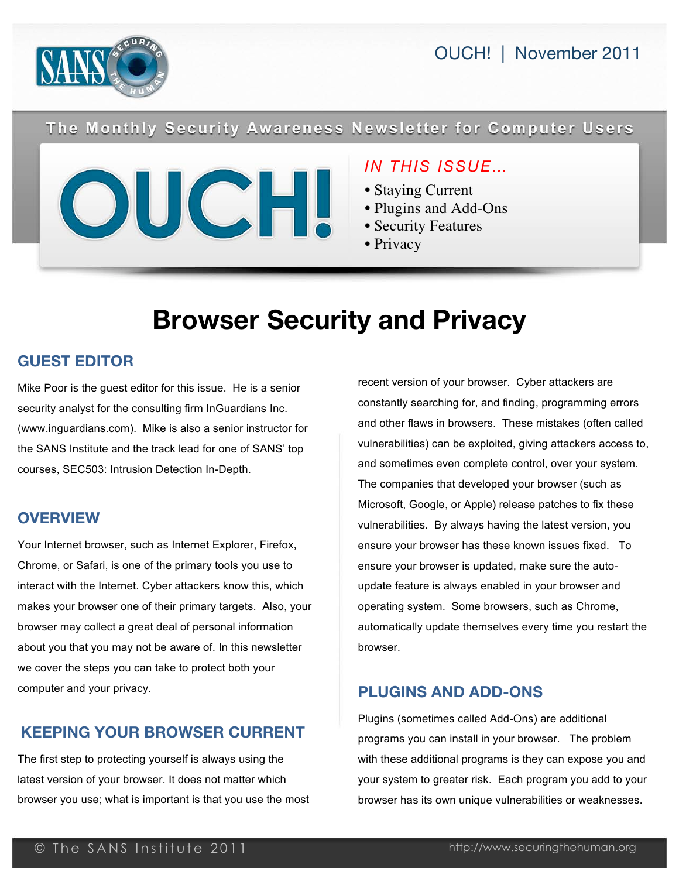

OUCH! | November 2011

# The Monthly Security Awareness Newsletter for Computer Users

## *IN THIS ISSUE…*

- Staying Current
- Plugins and Add-Ons
- Security Features
- Privacy

# **Browser Security and Privacy**

### **GUEST EDITOR**

Mike Poor is the guest editor for this issue. He is a senior security analyst for the consulting firm InGuardians Inc. (www.inguardians.com). Mike is also a senior instructor for the SANS Institute and the track lead for one of SANS' top courses, SEC503: Intrusion Detection In-Depth.

#### **OVERVIEW**

Your Internet browser, such as Internet Explorer, Firefox, Chrome, or Safari, is one of the primary tools you use to interact with the Internet. Cyber attackers know this, which makes your browser one of their primary targets. Also, your browser may collect a great deal of personal information about you that you may not be aware of. In this newsletter we cover the steps you can take to protect both your computer and your privacy.

### **KEEPING YOUR BROWSER CURRENT**

The first step to protecting yourself is always using the latest version of your browser. It does not matter which browser you use; what is important is that you use the most recent version of your browser. Cyber attackers are constantly searching for, and finding, programming errors and other flaws in browsers. These mistakes (often called vulnerabilities) can be exploited, giving attackers access to, and sometimes even complete control, over your system. The companies that developed your browser (such as Microsoft, Google, or Apple) release patches to fix these vulnerabilities. By always having the latest version, you ensure your browser has these known issues fixed. To ensure your browser is updated, make sure the autoupdate feature is always enabled in your browser and operating system. Some browsers, such as Chrome, automatically update themselves every time you restart the browser.

#### **PLUGINS AND ADD-ONS**

Plugins (sometimes called Add-Ons) are additional programs you can install in your browser. The problem with these additional programs is they can expose you and your system to greater risk. Each program you add to your browser has its own unique vulnerabilities or weaknesses.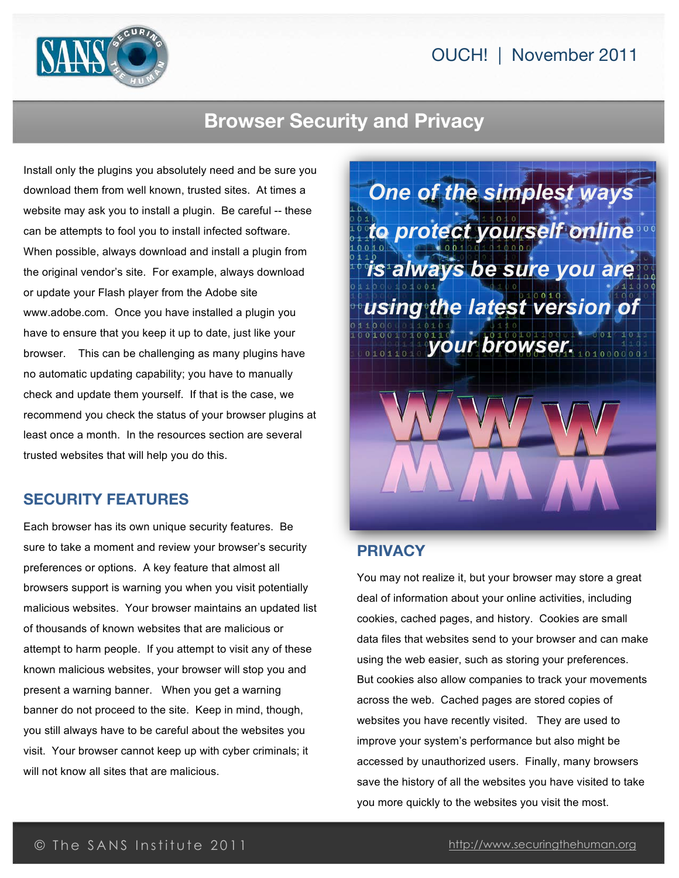

# **Browser Security and Privacy**

Install only the plugins you absolutely need and be sure you download them from well known, trusted sites. At times a website may ask you to install a plugin. Be careful -- these can be attempts to fool you to install infected software. When possible, always download and install a plugin from the original vendor's site. For example, always download or update your Flash player from the Adobe site www.adobe.com. Once you have installed a plugin you have to ensure that you keep it up to date, just like your browser. This can be challenging as many plugins have no automatic updating capability; you have to manually check and update them yourself. If that is the case, we recommend you check the status of your browser plugins at least once a month. In the resources section are several trusted websites that will help you do this.

#### **SECURITY FEATURES**

Each browser has its own unique security features. Be sure to take a moment and review your browser's security preferences or options. A key feature that almost all browsers support is warning you when you visit potentially malicious websites. Your browser maintains an updated list of thousands of known websites that are malicious or attempt to harm people. If you attempt to visit any of these known malicious websites, your browser will stop you and present a warning banner. When you get a warning banner do not proceed to the site. Keep in mind, though, you still always have to be careful about the websites you visit. Your browser cannot keep up with cyber criminals; it will not know all sites that are malicious.

*One of the simplest ways to protect yourself online is always be sure you are using the latest version of your browser.*

#### **PRIVACY**

You may not realize it, but your browser may store a great deal of information about your online activities, including cookies, cached pages, and history. Cookies are small data files that websites send to your browser and can make using the web easier, such as storing your preferences. But cookies also allow companies to track your movements across the web. Cached pages are stored copies of websites you have recently visited. They are used to improve your system's performance but also might be accessed by unauthorized users. Finally, many browsers save the history of all the websites you have visited to take you more quickly to the websites you visit the most.